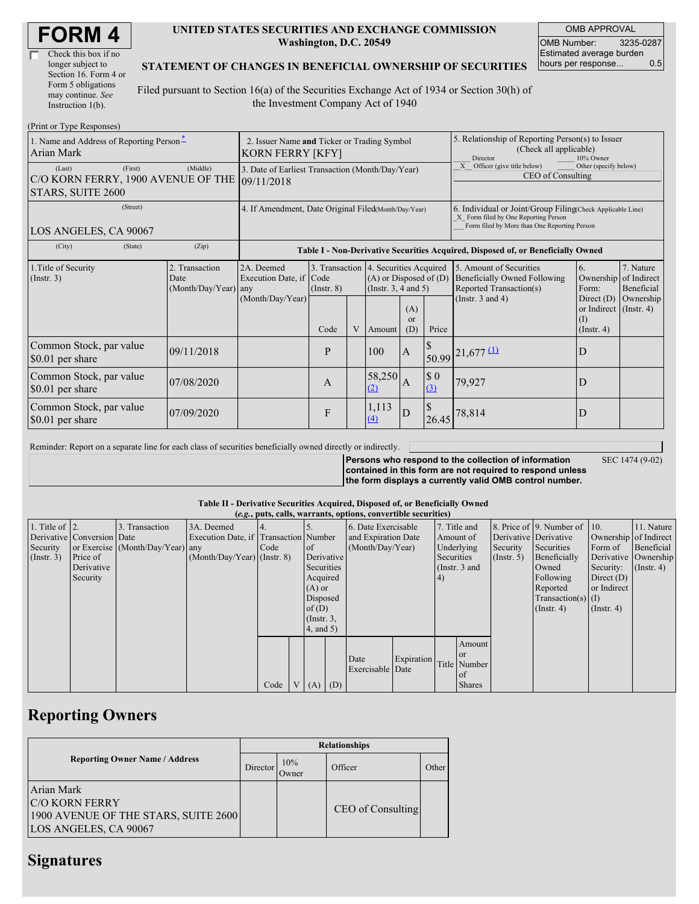| Check this box if no  |
|-----------------------|
| longer subject to     |
| Section 16. Form 4 or |
| Form 5 obligations    |
| may continue. See     |
| Instruction 1(b).     |

#### **UNITED STATES SECURITIES AND EXCHANGE COMMISSION Washington, D.C. 20549**

OMB APPROVAL OMB Number: 3235-0287 Estimated average burden hours per response... 0.5

### **STATEMENT OF CHANGES IN BENEFICIAL OWNERSHIP OF SECURITIES**

Filed pursuant to Section 16(a) of the Securities Exchange Act of 1934 or Section 30(h) of the Investment Company Act of 1940

| (Print or Type Responses)                                                               |                                                                        |                                                                                                                                                                                                                                     |   |       |                                                                                                                    |                                                                                               |                                                                                                                                                    |                                    |   |  |
|-----------------------------------------------------------------------------------------|------------------------------------------------------------------------|-------------------------------------------------------------------------------------------------------------------------------------------------------------------------------------------------------------------------------------|---|-------|--------------------------------------------------------------------------------------------------------------------|-----------------------------------------------------------------------------------------------|----------------------------------------------------------------------------------------------------------------------------------------------------|------------------------------------|---|--|
| 1. Name and Address of Reporting Person-<br>Arian Mark                                  | 2. Issuer Name and Ticker or Trading Symbol<br><b>KORN FERRY [KFY]</b> |                                                                                                                                                                                                                                     |   |       |                                                                                                                    |                                                                                               | 5. Relationship of Reporting Person(s) to Issuer<br>(Check all applicable)<br>Director<br>10% Owner                                                |                                    |   |  |
| (First)<br>(Last)<br>C/O KORN FERRY, 1900 AVENUE OF THE 09/11/2018<br>STARS, SUITE 2600 | 3. Date of Earliest Transaction (Month/Day/Year)                       |                                                                                                                                                                                                                                     |   |       |                                                                                                                    |                                                                                               | X Officer (give title below)<br>Other (specify below)<br>CEO of Consulting                                                                         |                                    |   |  |
| (Street)<br>LOS ANGELES, CA 90067                                                       | 4. If Amendment, Date Original Filed(Month/Day/Year)                   |                                                                                                                                                                                                                                     |   |       |                                                                                                                    |                                                                                               | 6. Individual or Joint/Group Filing Check Applicable Line)<br>X Form filed by One Reporting Person<br>Form filed by More than One Reporting Person |                                    |   |  |
| (State)<br>(City)                                                                       | (Zip)                                                                  | Table I - Non-Derivative Securities Acquired, Disposed of, or Beneficially Owned                                                                                                                                                    |   |       |                                                                                                                    |                                                                                               |                                                                                                                                                    |                                    |   |  |
| 1. Title of Security<br>(Insert. 3)                                                     | 2. Transaction<br>Date<br>(Month/Day/Year) any                         | 3. Transaction 4. Securities Acquired<br>2A. Deemed<br>$(A)$ or Disposed of $(D)$<br>Execution Date, if<br>Code<br>(Instr. $3, 4$ and $5$ )<br>$($ Instr. $8)$<br>(Month/Day/Year)<br>(A)<br>$\alpha$<br>V<br>Code<br>(D)<br>Amount |   | Price | 5. Amount of Securities<br><b>Beneficially Owned Following</b><br>Reported Transaction(s)<br>(Instr. $3$ and $4$ ) | 6.<br>Ownership of Indirect<br>Form:<br>Direct $(D)$<br>or Indirect (Instr. 4)<br>(Insert, 4) | 7. Nature<br>Beneficial<br>Ownership                                                                                                               |                                    |   |  |
| Common Stock, par value<br>\$0.01 per share                                             | 09/11/2018                                                             |                                                                                                                                                                                                                                     | P |       | 100                                                                                                                | A                                                                                             |                                                                                                                                                    | $50.99$ $21,677$ $\underline{(1)}$ | D |  |
| Common Stock, par value<br>\$0.01 per share                                             | 07/08/2020                                                             |                                                                                                                                                                                                                                     | A |       | 58,250<br>(2)                                                                                                      | A                                                                                             | $\$$ 0<br>(3)                                                                                                                                      | 79,927                             | D |  |
| Common Stock, par value<br>\$0.01 per share                                             | 07/09/2020                                                             |                                                                                                                                                                                                                                     | F |       | 1,113<br>(4)                                                                                                       | D                                                                                             | S<br>26.45                                                                                                                                         | 78,814                             | D |  |

Reminder: Report on a separate line for each class of securities beneficially owned directly or indirectly.

**Persons who respond to the collection of information contained in this form are not required to respond unless**

SEC 1474 (9-02)

**the form displays a currently valid OMB control number.**

### **Table II - Derivative Securities Acquired, Disposed of, or Beneficially Owned**

|                        | (e.g., puts, calls, warrants, options, convertible securities) |                                  |                                       |      |  |                 |            |                     |                                  |              |               |             |                              |                       |                      |
|------------------------|----------------------------------------------------------------|----------------------------------|---------------------------------------|------|--|-----------------|------------|---------------------|----------------------------------|--------------|---------------|-------------|------------------------------|-----------------------|----------------------|
| 1. Title of $\vert$ 2. |                                                                | 3. Transaction                   | 3A. Deemed                            |      |  |                 |            | 6. Date Exercisable |                                  | 7. Title and |               |             | 8. Price of 9. Number of 10. |                       | 11. Nature           |
|                        | Derivative Conversion Date                                     |                                  | Execution Date, if Transaction Number |      |  |                 |            |                     | and Expiration Date<br>Amount of |              |               |             | Derivative Derivative        | Ownership of Indirect |                      |
| Security               |                                                                | or Exercise (Month/Day/Year) any |                                       | Code |  | $\circ$ f       |            | (Month/Day/Year)    |                                  | Underlying   |               | Security    | Securities                   | Form of               | Beneficial           |
| $($ Instr. 3 $)$       | Price of                                                       |                                  | $(Month/Day/Year)$ (Instr. 8)         |      |  | Derivative      |            |                     |                                  | Securities   |               | (Insert, 5) | Beneficially                 |                       | Derivative Ownership |
|                        | Derivative                                                     |                                  |                                       |      |  |                 | Securities |                     | (Instr. $3$ and                  |              |               | Owned       | Security:                    | $($ Instr. 4)         |                      |
|                        | Security                                                       |                                  |                                       |      |  | Acquired        |            |                     |                                  | 4)           |               |             | Following                    | Direct $(D)$          |                      |
|                        |                                                                |                                  |                                       |      |  | $(A)$ or        |            |                     |                                  |              |               |             | Reported                     | or Indirect           |                      |
|                        |                                                                |                                  |                                       |      |  | Disposed        |            |                     |                                  |              |               |             | $Transaction(s)$ (I)         |                       |                      |
|                        |                                                                |                                  |                                       |      |  | of(D)           |            |                     |                                  |              |               |             | $($ Instr. 4 $)$             | $($ Instr. 4 $)$      |                      |
|                        |                                                                |                                  |                                       |      |  | $($ Instr. $3,$ |            |                     |                                  |              |               |             |                              |                       |                      |
|                        |                                                                |                                  |                                       |      |  | 4, and 5)       |            |                     |                                  |              |               |             |                              |                       |                      |
|                        |                                                                |                                  |                                       |      |  |                 |            |                     |                                  |              | Amount        |             |                              |                       |                      |
|                        |                                                                |                                  |                                       |      |  |                 |            |                     |                                  |              | <sub>or</sub> |             |                              |                       |                      |
|                        |                                                                |                                  |                                       |      |  |                 |            | Date                | Expiration                       |              | Title Number  |             |                              |                       |                      |
|                        |                                                                |                                  |                                       |      |  |                 |            | Exercisable Date    |                                  |              | of of         |             |                              |                       |                      |
|                        |                                                                |                                  |                                       | Code |  | $(A)$ $(D)$     |            |                     |                                  |              | <b>Shares</b> |             |                              |                       |                      |

## **Reporting Owners**

|                                                                                                      | <b>Relationships</b> |              |                   |       |  |  |  |  |
|------------------------------------------------------------------------------------------------------|----------------------|--------------|-------------------|-------|--|--|--|--|
| <b>Reporting Owner Name / Address</b>                                                                | Director             | 10%<br>Jwner | Officer           | Other |  |  |  |  |
| Arian Mark<br><b>C/O KORN FERRY</b><br>1900 AVENUE OF THE STARS, SUITE 2600<br>LOS ANGELES, CA 90067 |                      |              | CEO of Consulting |       |  |  |  |  |

### **Signatures**